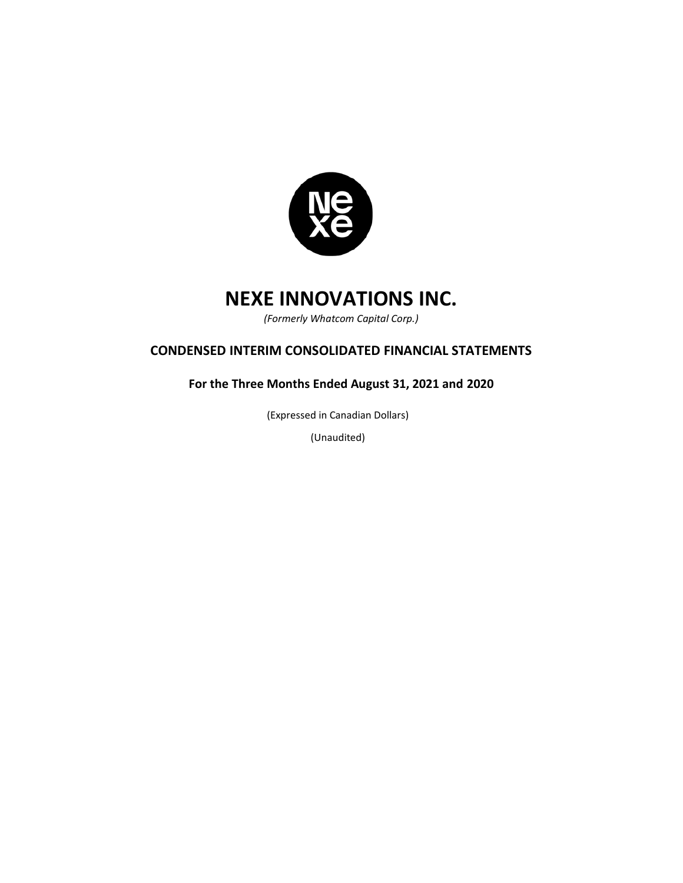

*(Formerly Whatcom Capital Corp.)*

# **CONDENSED INTERIM CONSOLIDATED FINANCIAL STATEMENTS**

**For the Three Months Ended August 31, 2021 and 2020**

(Expressed in Canadian Dollars)

(Unaudited)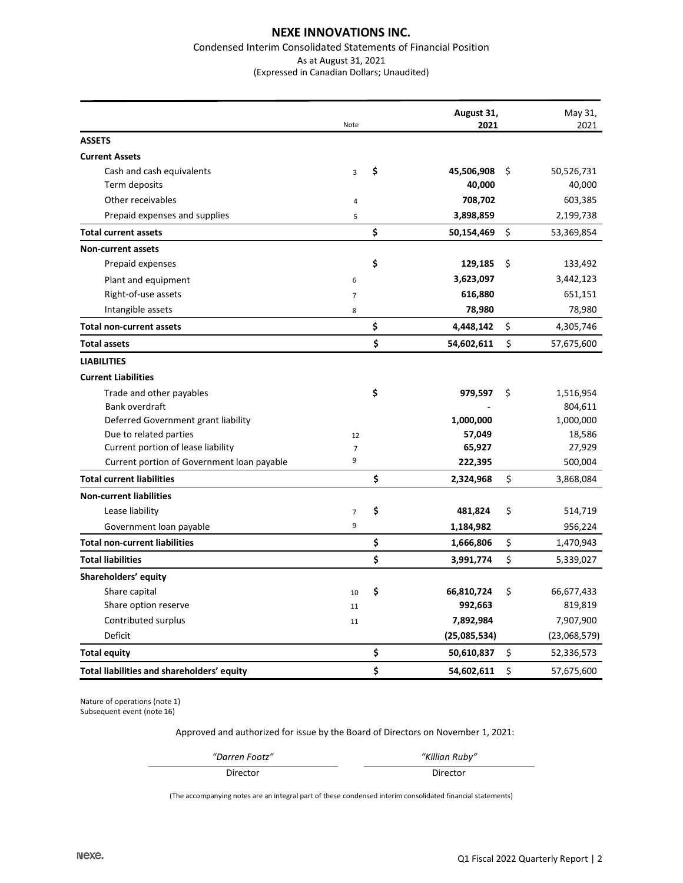#### Condensed Interim Consolidated Statements of Financial Position As at August 31, 2021 (Expressed in Canadian Dollars; Unaudited)

|                                            | Note           | August 31,<br>2021 | May 31,<br>2021  |
|--------------------------------------------|----------------|--------------------|------------------|
| <b>ASSETS</b>                              |                |                    |                  |
| <b>Current Assets</b>                      |                |                    |                  |
| Cash and cash equivalents                  | $\overline{3}$ | \$<br>45,506,908   | \$<br>50,526,731 |
| Term deposits                              |                | 40,000             | 40,000           |
| Other receivables                          | $\overline{4}$ | 708,702            | 603,385          |
| Prepaid expenses and supplies              | 5              | 3,898,859          | 2,199,738        |
| <b>Total current assets</b>                |                | \$<br>50,154,469   | \$<br>53,369,854 |
| <b>Non-current assets</b>                  |                |                    |                  |
| Prepaid expenses                           |                | \$<br>129,185      | \$<br>133,492    |
| Plant and equipment                        | 6              | 3,623,097          | 3,442,123        |
| Right-of-use assets                        | $\overline{7}$ | 616,880            | 651,151          |
| Intangible assets                          | 8              | 78,980             | 78,980           |
| <b>Total non-current assets</b>            |                | \$<br>4,448,142    | \$<br>4,305,746  |
| <b>Total assets</b>                        |                | \$<br>54,602,611   | \$<br>57,675,600 |
| <b>LIABILITIES</b>                         |                |                    |                  |
| <b>Current Liabilities</b>                 |                |                    |                  |
| Trade and other payables                   |                | \$<br>979,597      | \$<br>1,516,954  |
| Bank overdraft                             |                |                    | 804,611          |
| Deferred Government grant liability        |                | 1,000,000          | 1,000,000        |
| Due to related parties                     | 12             | 57,049             | 18,586           |
| Current portion of lease liability         | $\overline{7}$ | 65,927             | 27,929           |
| Current portion of Government loan payable | 9              | 222,395            | 500,004          |
| <b>Total current liabilities</b>           |                | \$<br>2,324,968    | \$<br>3,868,084  |
| <b>Non-current liabilities</b>             |                |                    |                  |
| Lease liability                            | $\overline{7}$ | \$<br>481,824      | \$<br>514,719    |
| Government loan payable                    | 9              | 1,184,982          | 956,224          |
| <b>Total non-current liabilities</b>       |                | \$<br>1,666,806    | \$<br>1,470,943  |
| <b>Total liabilities</b>                   |                | \$<br>3,991,774    | \$<br>5,339,027  |
| Shareholders' equity                       |                |                    |                  |
| Share capital                              | 10             | \$<br>66,810,724   | \$<br>66,677,433 |
| Share option reserve                       | $11\,$         | 992,663            | 819,819          |
| Contributed surplus                        | 11             | 7,892,984          | 7,907,900        |
| <b>Deficit</b>                             |                | (25,085,534)       | (23,068,579)     |
| <b>Total equity</b>                        |                | \$<br>50,610,837   | \$<br>52,336,573 |
| Total liabilities and shareholders' equity |                | \$<br>54,602,611   | \$<br>57,675,600 |

Nature of operations (note 1) Subsequent event (note 16)

Approved and authorized for issue by the Board of Directors on November 1, 2021:

*"Darren Footz" "Killian Ruby"*

Director Director Director

(The accompanying notes are an integral part of these condensed interim consolidated financial statements)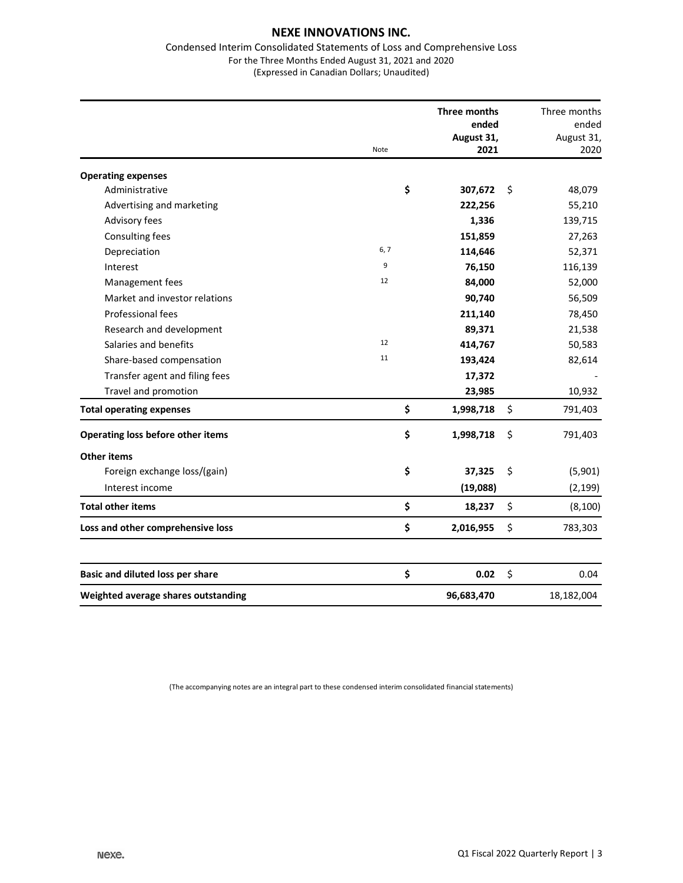#### Condensed Interim Consolidated Statements of Loss and Comprehensive Loss For the Three Months Ended August 31, 2021 and 2020 (Expressed in Canadian Dollars; Unaudited)

|                                     | Note | Three months<br>ended<br>August 31,<br>2021 |    | Three months<br>ended<br>August 31,<br>2020 |
|-------------------------------------|------|---------------------------------------------|----|---------------------------------------------|
| <b>Operating expenses</b>           |      |                                             |    |                                             |
| Administrative                      | \$   | 307,672                                     | Ŝ. | 48,079                                      |
| Advertising and marketing           |      | 222,256                                     |    | 55,210                                      |
| Advisory fees                       |      | 1,336                                       |    | 139,715                                     |
| Consulting fees                     |      | 151,859                                     |    | 27,263                                      |
| Depreciation                        | 6, 7 | 114,646                                     |    | 52,371                                      |
| Interest                            | 9    | 76,150                                      |    | 116,139                                     |
| Management fees                     | 12   | 84,000                                      |    | 52,000                                      |
| Market and investor relations       |      | 90,740                                      |    | 56,509                                      |
| <b>Professional fees</b>            |      | 211,140                                     |    | 78,450                                      |
| Research and development            |      | 89,371                                      |    | 21,538                                      |
| Salaries and benefits               | 12   | 414,767                                     |    | 50,583                                      |
| Share-based compensation            | 11   | 193,424                                     |    | 82,614                                      |
| Transfer agent and filing fees      |      | 17,372                                      |    |                                             |
| Travel and promotion                |      | 23,985                                      |    | 10,932                                      |
| <b>Total operating expenses</b>     | \$   | 1,998,718                                   | \$ | 791,403                                     |
| Operating loss before other items   | \$   | 1,998,718                                   | \$ | 791,403                                     |
| <b>Other items</b>                  |      |                                             |    |                                             |
| Foreign exchange loss/(gain)        | \$   | 37,325                                      | \$ | (5,901)                                     |
| Interest income                     |      | (19,088)                                    |    | (2, 199)                                    |
| <b>Total other items</b>            | \$   | 18,237                                      | \$ | (8, 100)                                    |
| Loss and other comprehensive loss   | \$   | 2,016,955                                   | \$ | 783,303                                     |
|                                     |      |                                             |    |                                             |
| Basic and diluted loss per share    | \$   | 0.02                                        | \$ | 0.04                                        |
| Weighted average shares outstanding |      | 96,683,470                                  |    | 18,182,004                                  |

(The accompanying notes are an integral part to these condensed interim consolidated financial statements)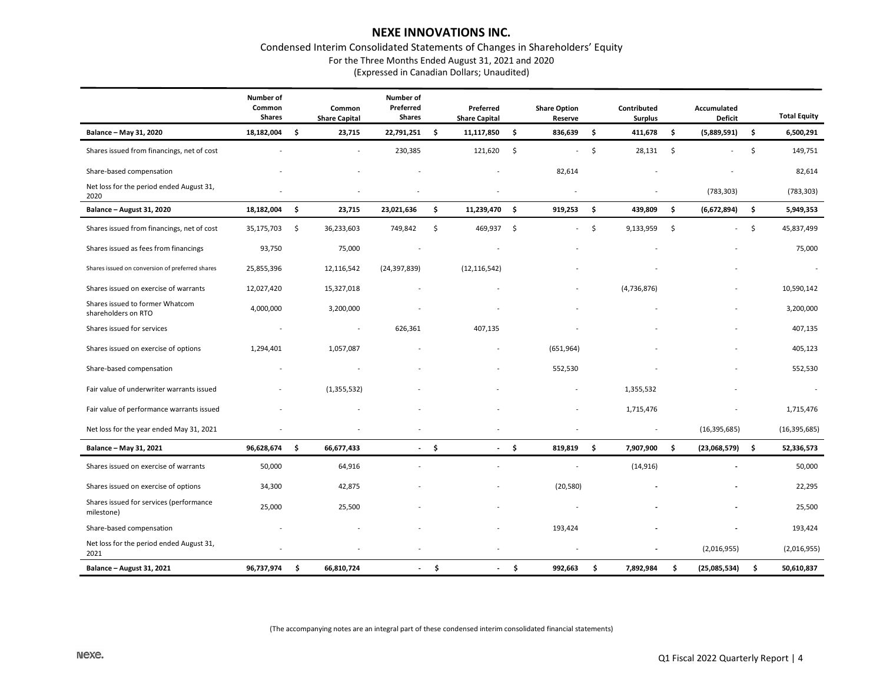# Condensed Interim Consolidated Statements of Changes in Shareholders' Equity

For the Three Months Ended August 31, 2021 and 2020

(Expressed in Canadian Dollars; Unaudited)

|                                                        | Number of<br>Common<br><b>Shares</b> | Common<br><b>Share Capital</b> | <b>Number of</b><br>Preferred<br>Shares |      | Preferred<br><b>Share Capital</b> |      | <b>Share Option</b><br>Reserve | Contributed<br><b>Surplus</b> | Accumulated<br>Deficit         | <b>Total Equity</b> |
|--------------------------------------------------------|--------------------------------------|--------------------------------|-----------------------------------------|------|-----------------------------------|------|--------------------------------|-------------------------------|--------------------------------|---------------------|
| Balance - May 31, 2020                                 | 18,182,004                           | \$<br>23,715                   | 22,791,251                              | \$   | 11,117,850                        | \$   | 836,639                        | \$<br>411,678                 | \$<br>(5,889,591)              | \$<br>6,500,291     |
| Shares issued from financings, net of cost             |                                      |                                | 230,385                                 |      | 121,620                           | -\$  | $\sim$                         | \$<br>28,131                  | \$<br>$\overline{\phantom{a}}$ | \$<br>149,751       |
| Share-based compensation                               |                                      |                                |                                         |      |                                   |      | 82,614                         |                               |                                | 82,614              |
| Net loss for the period ended August 31,<br>2020       |                                      |                                |                                         |      |                                   |      |                                |                               | (783, 303)                     | (783, 303)          |
| Balance - August 31, 2020                              | 18,182,004                           | \$<br>23,715                   | 23,021,636                              | \$   | 11,239,470                        | - \$ | 919,253                        | \$<br>439,809                 | \$<br>(6,672,894)              | \$<br>5,949,353     |
| Shares issued from financings, net of cost             | 35,175,703                           | \$<br>36,233,603               | 749,842                                 | \$   | 469,937                           | - \$ | ÷                              | \$<br>9,133,959               | \$<br>$\overline{\phantom{a}}$ | \$<br>45,837,499    |
| Shares issued as fees from financings                  | 93,750                               | 75,000                         |                                         |      |                                   |      |                                |                               |                                | 75,000              |
| Shares issued on conversion of preferred shares        | 25,855,396                           | 12,116,542                     | (24, 397, 839)                          |      | (12, 116, 542)                    |      |                                |                               |                                |                     |
| Shares issued on exercise of warrants                  | 12,027,420                           | 15,327,018                     |                                         |      |                                   |      |                                | (4,736,876)                   |                                | 10,590,142          |
| Shares issued to former Whatcom<br>shareholders on RTO | 4,000,000                            | 3,200,000                      |                                         |      |                                   |      |                                |                               |                                | 3,200,000           |
| Shares issued for services                             |                                      | $\overline{a}$                 | 626,361                                 |      | 407,135                           |      |                                |                               |                                | 407,135             |
| Shares issued on exercise of options                   | 1,294,401                            | 1,057,087                      |                                         |      |                                   |      | (651, 964)                     |                               |                                | 405,123             |
| Share-based compensation                               |                                      |                                |                                         |      |                                   |      | 552,530                        |                               |                                | 552,530             |
| Fair value of underwriter warrants issued              |                                      | (1, 355, 532)                  |                                         |      |                                   |      |                                | 1,355,532                     |                                |                     |
| Fair value of performance warrants issued              |                                      |                                |                                         |      |                                   |      |                                | 1,715,476                     |                                | 1,715,476           |
| Net loss for the year ended May 31, 2021               |                                      |                                |                                         |      |                                   |      |                                |                               | (16, 395, 685)                 | (16, 395, 685)      |
| Balance - May 31, 2021                                 | 96,628,674                           | \$<br>66,677,433               | $\overline{\phantom{a}}$                | - \$ | $\overline{\phantom{a}}$          | - \$ | 819,819                        | \$<br>7,907,900               | \$<br>$(23,068,579)$ \$        | 52,336,573          |
| Shares issued on exercise of warrants                  | 50,000                               | 64,916                         |                                         |      |                                   |      |                                | (14, 916)                     |                                | 50,000              |
| Shares issued on exercise of options                   | 34,300                               | 42,875                         |                                         |      |                                   |      | (20, 580)                      |                               |                                | 22,295              |
| Shares issued for services (performance<br>milestone)  | 25,000                               | 25,500                         |                                         |      |                                   |      |                                |                               |                                | 25,500              |
| Share-based compensation                               |                                      |                                |                                         |      |                                   |      | 193,424                        |                               |                                | 193,424             |
| Net loss for the period ended August 31,<br>2021       |                                      |                                |                                         |      |                                   |      |                                |                               | (2,016,955)                    | (2,016,955)         |
| Balance - August 31, 2021                              | 96,737,974                           | \$<br>66,810,724               |                                         | \$   | $\blacksquare$                    | \$   | 992,663                        | \$<br>7,892,984               | \$<br>(25,085,534)             | \$<br>50,610,837    |

(The accompanying notes are an integral part of these condensed interim consolidated financial statements)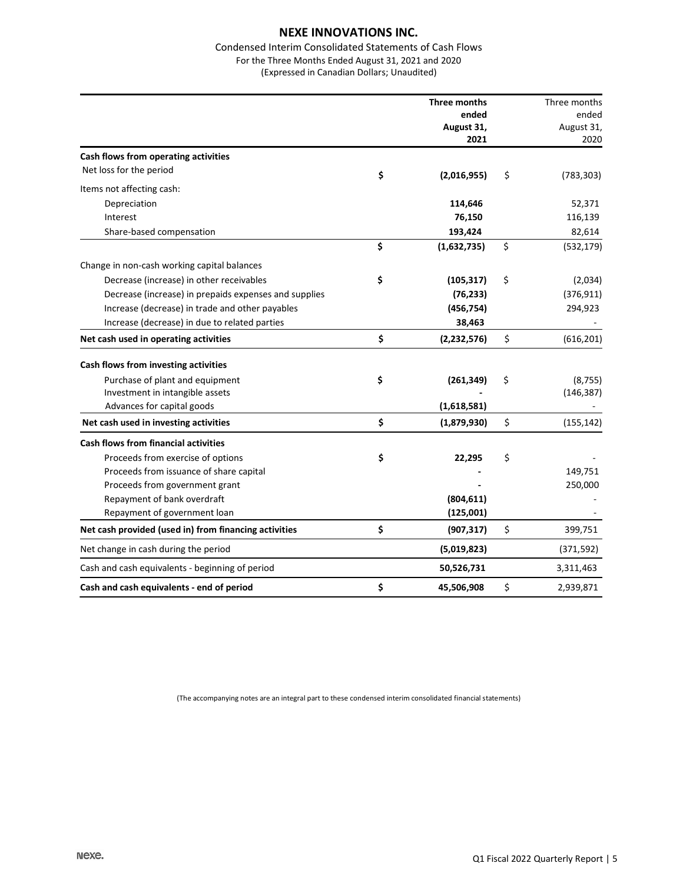## Condensed Interim Consolidated Statements of Cash Flows For the Three Months Ended August 31, 2021 and 2020

(Expressed in Canadian Dollars; Unaudited)

|                                                       | Three months        | Three months     |
|-------------------------------------------------------|---------------------|------------------|
|                                                       | ended               | ended            |
|                                                       | August 31,          | August 31,       |
|                                                       | 2021                | 2020             |
| Cash flows from operating activities                  |                     |                  |
| Net loss for the period                               | \$<br>(2,016,955)   | \$<br>(783, 303) |
| Items not affecting cash:                             |                     |                  |
| Depreciation                                          | 114,646             | 52,371           |
| Interest                                              | 76,150              | 116,139          |
| Share-based compensation                              | 193,424             | 82,614           |
|                                                       | \$<br>(1,632,735)   | \$<br>(532, 179) |
| Change in non-cash working capital balances           |                     |                  |
| Decrease (increase) in other receivables              | \$<br>(105, 317)    | \$<br>(2,034)    |
| Decrease (increase) in prepaids expenses and supplies | (76, 233)           | (376, 911)       |
| Increase (decrease) in trade and other payables       | (456, 754)          | 294,923          |
| Increase (decrease) in due to related parties         | 38,463              |                  |
| Net cash used in operating activities                 | \$<br>(2, 232, 576) | \$<br>(616, 201) |
| Cash flows from investing activities                  |                     |                  |
| Purchase of plant and equipment                       | \$<br>(261, 349)    | \$<br>(8, 755)   |
| Investment in intangible assets                       |                     | (146, 387)       |
| Advances for capital goods                            | (1,618,581)         |                  |
| Net cash used in investing activities                 | \$<br>(1,879,930)   | \$<br>(155, 142) |
| <b>Cash flows from financial activities</b>           |                     |                  |
| Proceeds from exercise of options                     | \$<br>22,295        | \$               |
| Proceeds from issuance of share capital               |                     | 149,751          |
| Proceeds from government grant                        |                     | 250,000          |
| Repayment of bank overdraft                           | (804, 611)          |                  |
| Repayment of government loan                          | (125,001)           |                  |
| Net cash provided (used in) from financing activities | \$<br>(907, 317)    | \$<br>399,751    |
| Net change in cash during the period                  | (5,019,823)         | (371, 592)       |
| Cash and cash equivalents - beginning of period       | 50,526,731          | 3,311,463        |
| Cash and cash equivalents - end of period             | \$<br>45,506,908    | \$<br>2,939,871  |

(The accompanying notes are an integral part to these condensed interim consolidated financial statements)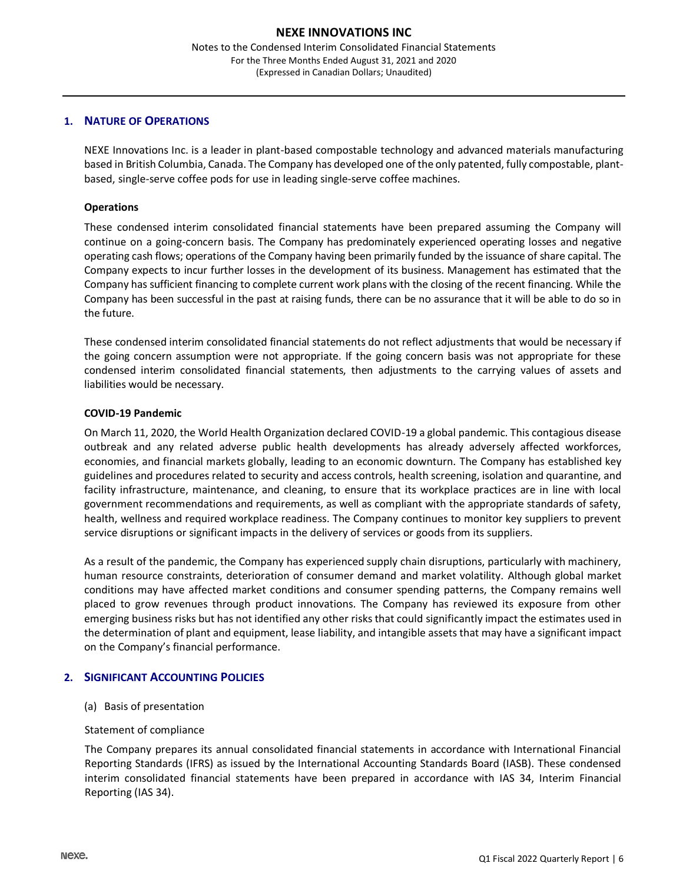## **1. NATURE OF OPERATIONS**

NEXE Innovations Inc. is a leader in plant-based compostable technology and advanced materials manufacturing based in British Columbia, Canada. The Company has developed one of the only patented, fully compostable, plantbased, single-serve coffee pods for use in leading single-serve coffee machines.

#### **Operations**

These condensed interim consolidated financial statements have been prepared assuming the Company will continue on a going-concern basis. The Company has predominately experienced operating losses and negative operating cash flows; operations of the Company having been primarily funded by the issuance of share capital. The Company expects to incur further losses in the development of its business. Management has estimated that the Company has sufficient financing to complete current work plans with the closing of the recent financing. While the Company has been successful in the past at raising funds, there can be no assurance that it will be able to do so in the future.

These condensed interim consolidated financial statements do not reflect adjustments that would be necessary if the going concern assumption were not appropriate. If the going concern basis was not appropriate for these condensed interim consolidated financial statements, then adjustments to the carrying values of assets and liabilities would be necessary.

#### **COVID-19 Pandemic**

On March 11, 2020, the World Health Organization declared COVID-19 a global pandemic. This contagious disease outbreak and any related adverse public health developments has already adversely affected workforces, economies, and financial markets globally, leading to an economic downturn. The Company has established key guidelines and procedures related to security and access controls, health screening, isolation and quarantine, and facility infrastructure, maintenance, and cleaning, to ensure that its workplace practices are in line with local government recommendations and requirements, as well as compliant with the appropriate standards of safety, health, wellness and required workplace readiness. The Company continues to monitor key suppliers to prevent service disruptions or significant impacts in the delivery of services or goods from its suppliers.

As a result of the pandemic, the Company has experienced supply chain disruptions, particularly with machinery, human resource constraints, deterioration of consumer demand and market volatility. Although global market conditions may have affected market conditions and consumer spending patterns, the Company remains well placed to grow revenues through product innovations. The Company has reviewed its exposure from other emerging business risks but has not identified any other risks that could significantly impact the estimates used in the determination of plant and equipment, lease liability, and intangible assets that may have a significant impact on the Company's financial performance.

#### **2. SIGNIFICANT ACCOUNTING POLICIES**

#### (a) Basis of presentation

#### Statement of compliance

The Company prepares its annual consolidated financial statements in accordance with International Financial Reporting Standards (IFRS) as issued by the International Accounting Standards Board (IASB). These condensed interim consolidated financial statements have been prepared in accordance with IAS 34, Interim Financial Reporting (IAS 34).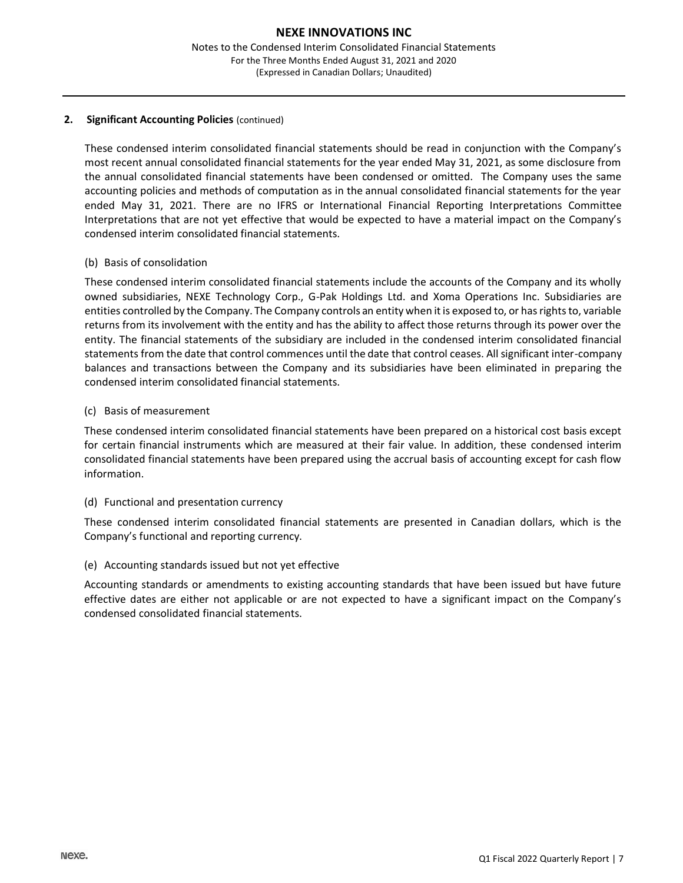## **2. Significant Accounting Policies** (continued)

These condensed interim consolidated financial statements should be read in conjunction with the Company's most recent annual consolidated financial statements for the year ended May 31, 2021, as some disclosure from the annual consolidated financial statements have been condensed or omitted. The Company uses the same accounting policies and methods of computation as in the annual consolidated financial statements for the year ended May 31, 2021. There are no IFRS or International Financial Reporting Interpretations Committee Interpretations that are not yet effective that would be expected to have a material impact on the Company's condensed interim consolidated financial statements.

## (b) Basis of consolidation

These condensed interim consolidated financial statements include the accounts of the Company and its wholly owned subsidiaries, NEXE Technology Corp., G-Pak Holdings Ltd. and Xoma Operations Inc. Subsidiaries are entities controlled by the Company. The Company controls an entity when it is exposed to, or has rights to, variable returns from its involvement with the entity and has the ability to affect those returns through its power over the entity. The financial statements of the subsidiary are included in the condensed interim consolidated financial statements from the date that control commences until the date that control ceases. All significant inter-company balances and transactions between the Company and its subsidiaries have been eliminated in preparing the condensed interim consolidated financial statements.

## (c) Basis of measurement

These condensed interim consolidated financial statements have been prepared on a historical cost basis except for certain financial instruments which are measured at their fair value. In addition, these condensed interim consolidated financial statements have been prepared using the accrual basis of accounting except for cash flow information.

#### (d) Functional and presentation currency

These condensed interim consolidated financial statements are presented in Canadian dollars, which is the Company's functional and reporting currency.

#### (e) Accounting standards issued but not yet effective

Accounting standards or amendments to existing accounting standards that have been issued but have future effective dates are either not applicable or are not expected to have a significant impact on the Company's condensed consolidated financial statements.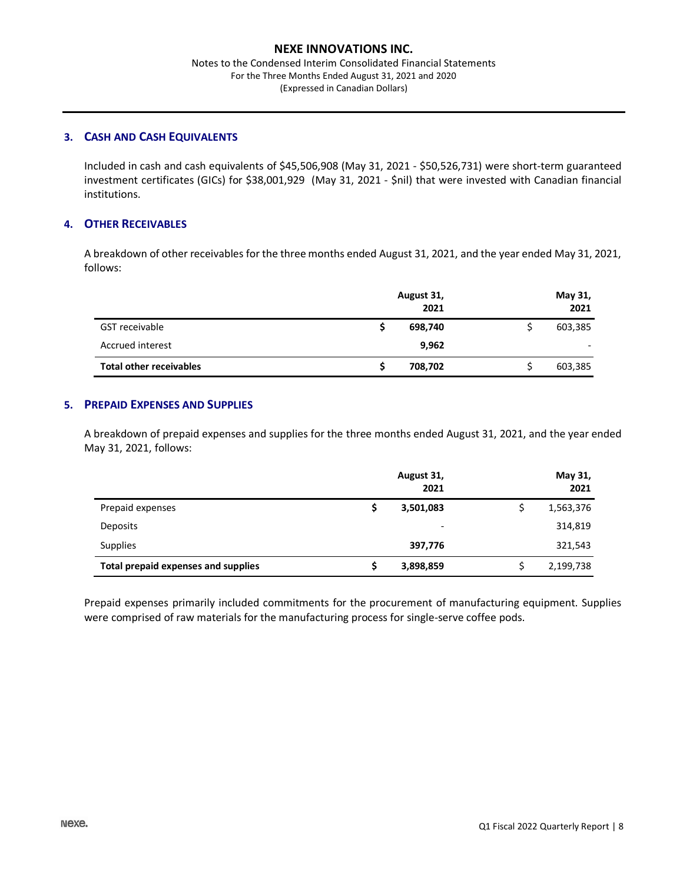Notes to the Condensed Interim Consolidated Financial Statements For the Three Months Ended August 31, 2021 and 2020 (Expressed in Canadian Dollars)

## **3. CASH AND CASH EQUIVALENTS**

Included in cash and cash equivalents of \$45,506,908 (May 31, 2021 - \$50,526,731) were short-term guaranteed investment certificates (GICs) for \$38,001,929 (May 31, 2021 - \$nil) that were invested with Canadian financial institutions.

## **4. OTHER RECEIVABLES**

A breakdown of other receivables for the three months ended August 31, 2021, and the year ended May 31, 2021, follows:

|                                | August 31,<br>2021 | May 31,<br>2021 |
|--------------------------------|--------------------|-----------------|
| GST receivable                 | 698,740            | 603,385         |
| Accrued interest               | 9,962              |                 |
| <b>Total other receivables</b> | 708,702            | 603,385         |

#### **5. PREPAID EXPENSES AND SUPPLIES**

A breakdown of prepaid expenses and supplies for the three months ended August 31, 2021, and the year ended May 31, 2021, follows:

|                                            | August 31,<br>2021       | May 31,<br>2021 |
|--------------------------------------------|--------------------------|-----------------|
| Prepaid expenses                           | 3,501,083                | 1,563,376       |
| Deposits                                   | $\overline{\phantom{0}}$ | 314,819         |
| <b>Supplies</b>                            | 397,776                  | 321,543         |
| <b>Total prepaid expenses and supplies</b> | 3,898,859                | 2,199,738       |

Prepaid expenses primarily included commitments for the procurement of manufacturing equipment. Supplies were comprised of raw materials for the manufacturing process for single-serve coffee pods.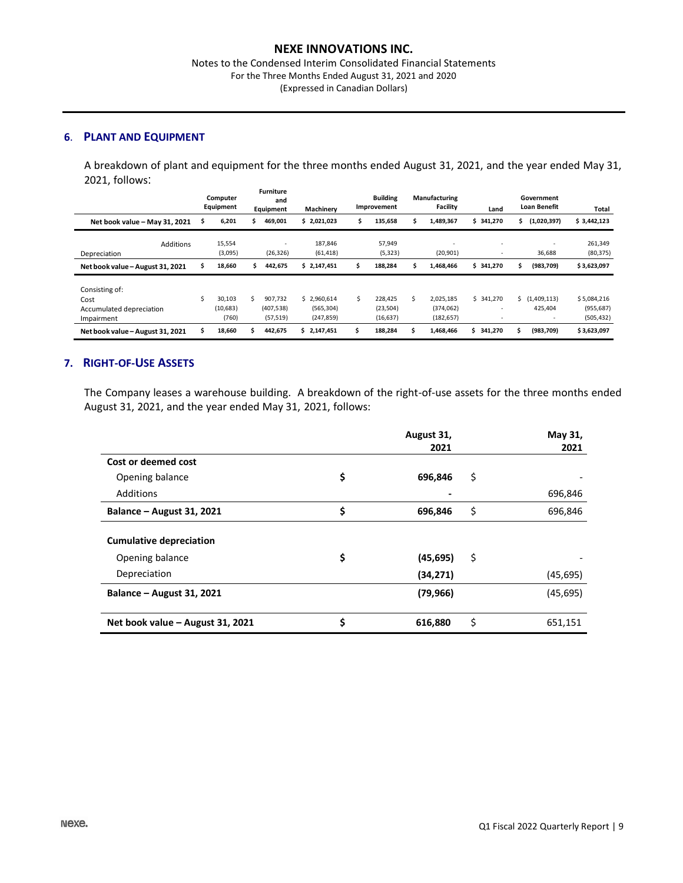#### Notes to the Condensed Interim Consolidated Financial Statements For the Three Months Ended August 31, 2021 and 2020 (Expressed in Canadian Dollars)

## **6**. **PLANT AND EQUIPMENT**

A breakdown of plant and equipment for the three months ended August 31, 2021, and the year ended May 31, 2021, follows:

|                                                                  |    | Computer<br>Equipment        |    | <b>Furniture</b><br>and<br>Equipment  | Machinery                               |   | <b>Building</b><br>Improvement    |    | Manufacturing<br><b>Facility</b>      | Land                     |   | Government<br>Loan Benefit                           | Total                                   |
|------------------------------------------------------------------|----|------------------------------|----|---------------------------------------|-----------------------------------------|---|-----------------------------------|----|---------------------------------------|--------------------------|---|------------------------------------------------------|-----------------------------------------|
| Net book value - May 31, 2021                                    | \$ | 6,201                        | s. | 469,001                               | \$2,021,023                             | Ś | 135,658                           | S  | 1,489,367                             | 341.270<br>S.            | s | (1,020,397)                                          | \$3,442,123                             |
| <b>Additions</b><br>Depreciation                                 |    | 15,554<br>(3,095)            |    | $\overline{\phantom{a}}$<br>(26, 326) | 187,846<br>(61, 418)                    |   | 57,949<br>(5, 323)                |    | ٠<br>(20, 901)                        | $\overline{\phantom{a}}$ |   | $\overline{\phantom{a}}$<br>36,688                   | 261,349<br>(80, 375)                    |
| Net book value - August 31, 2021                                 | \$ | 18,660                       |    | 442,675                               | \$2,147,451                             |   | 188,284                           |    | 1,468,466                             | 341,270<br>S.            | s | (983, 709)                                           | \$3,623,097                             |
| Consisting of:<br>Cost<br>Accumulated depreciation<br>Impairment | Ś  | 30,103<br>(10, 683)<br>(760) | Ś  | 907.732<br>(407, 538)<br>(57, 519)    | \$2.960.614<br>(565, 304)<br>(247, 859) | Ś | 228,425<br>(23, 504)<br>(16, 637) | Ś. | 2.025.185<br>(374, 062)<br>(182, 657) | 341,270<br>Ś.            |   | \$(1,409,113)<br>425,404<br>$\overline{\phantom{a}}$ | \$5,084,216<br>(955, 687)<br>(505, 432) |
| Net book value - August 31, 2021                                 | \$ | 18.660                       | ς. | 442.675                               | 2.147.451<br>S.                         |   | 188.284                           | s  | 1.468.466                             | \$<br>341.270            | S | (983, 709)                                           | \$3,623,097                             |

## **7. RIGHT-OF-USE ASSETS**

The Company leases a warehouse building. A breakdown of the right-of-use assets for the three months ended August 31, 2021, and the year ended May 31, 2021, follows:

|                                  | August 31,      | May 31,       |
|----------------------------------|-----------------|---------------|
|                                  | 2021            | 2021          |
| Cost or deemed cost              |                 |               |
| Opening balance                  | \$<br>696,846   | \$            |
| Additions                        |                 | 696,846       |
| Balance - August 31, 2021        | \$<br>696,846   | \$<br>696,846 |
| <b>Cumulative depreciation</b>   |                 |               |
| Opening balance                  | \$<br>(45, 695) | \$            |
| Depreciation                     | (34, 271)       | (45, 695)     |
| Balance - August 31, 2021        | (79, 966)       | (45,695)      |
|                                  |                 |               |
| Net book value - August 31, 2021 | \$<br>616,880   | \$<br>651,151 |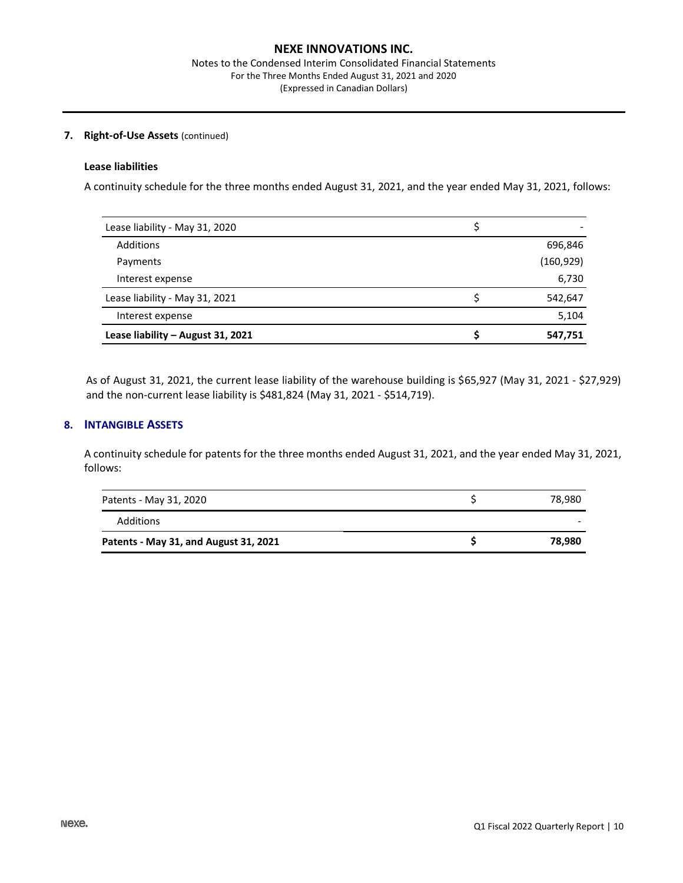#### **7. Right-of-Use Assets** (continued)

## **Lease liabilities**

A continuity schedule for the three months ended August 31, 2021, and the year ended May 31, 2021, follows:

| Lease liability - May 31, 2020    |            |
|-----------------------------------|------------|
| Additions                         | 696,846    |
| Payments                          | (160, 929) |
| Interest expense                  | 6,730      |
| Lease liability - May 31, 2021    | 542,647    |
| Interest expense                  | 5,104      |
| Lease liability - August 31, 2021 | 547,751    |

As of August 31, 2021, the current lease liability of the warehouse building is \$65,927 (May 31, 2021 - \$27,929) and the non-current lease liability is \$481,824 (May 31, 2021 - \$514,719).

## **8. INTANGIBLE ASSETS**

A continuity schedule for patents for the three months ended August 31, 2021, and the year ended May 31, 2021, follows:

| Patents - May 31, 2020                | 78,980 |
|---------------------------------------|--------|
| Additions                             |        |
| Patents - May 31, and August 31, 2021 | 78.980 |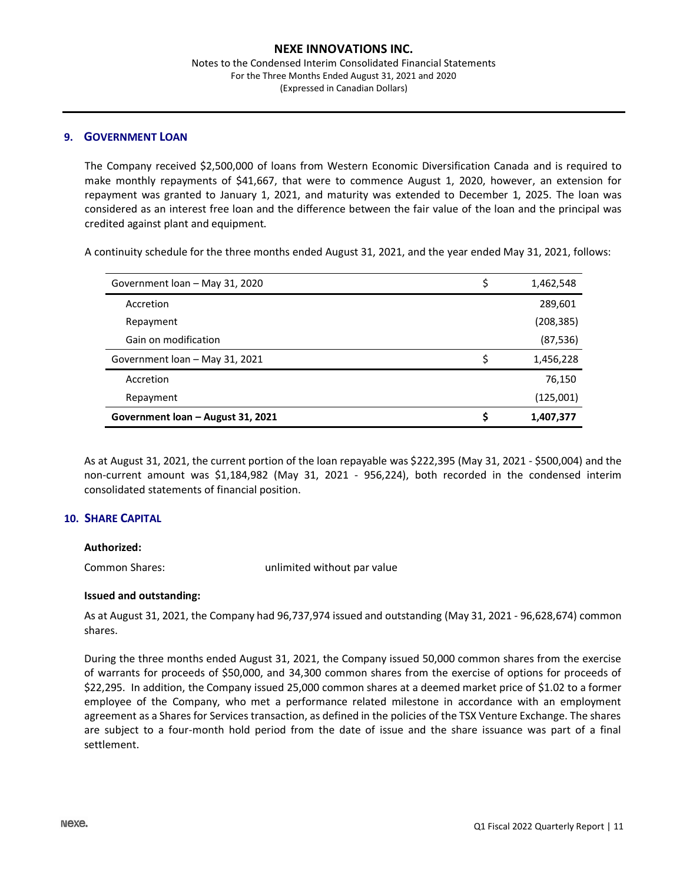#### Notes to the Condensed Interim Consolidated Financial Statements For the Three Months Ended August 31, 2021 and 2020 (Expressed in Canadian Dollars)

#### **9. GOVERNMENT LOAN**

The Company received \$2,500,000 of loans from Western Economic Diversification Canada and is required to make monthly repayments of \$41,667, that were to commence August 1, 2020, however, an extension for repayment was granted to January 1, 2021, and maturity was extended to December 1, 2025. The loan was considered as an interest free loan and the difference between the fair value of the loan and the principal was credited against plant and equipment.

A continuity schedule for the three months ended August 31, 2021, and the year ended May 31, 2021, follows:

| Government loan – August 31, 2021 | 1,407,377       |
|-----------------------------------|-----------------|
| Repayment                         | (125,001)       |
| Accretion                         | 76,150          |
| Government loan - May 31, 2021    | 1,456,228       |
| Gain on modification              | (87, 536)       |
| Repayment                         | (208,385)       |
| Accretion                         | 289,601         |
| Government loan - May 31, 2020    | \$<br>1,462,548 |

As at August 31, 2021, the current portion of the loan repayable was \$222,395 (May 31, 2021 - \$500,004) and the non-current amount was \$1,184,982 (May 31, 2021 - 956,224), both recorded in the condensed interim consolidated statements of financial position.

#### **10. SHARE CAPITAL**

#### **Authorized:**

Common Shares: unlimited without par value

#### **Issued and outstanding:**

As at August 31, 2021, the Company had 96,737,974 issued and outstanding (May 31, 2021 - 96,628,674) common shares.

During the three months ended August 31, 2021, the Company issued 50,000 common shares from the exercise of warrants for proceeds of \$50,000, and 34,300 common shares from the exercise of options for proceeds of \$22,295. In addition, the Company issued 25,000 common shares at a deemed market price of \$1.02 to a former employee of the Company, who met a performance related milestone in accordance with an employment agreement as a Shares for Services transaction, as defined in the policies of the TSX Venture Exchange. The shares are subject to a four-month hold period from the date of issue and the share issuance was part of a final settlement.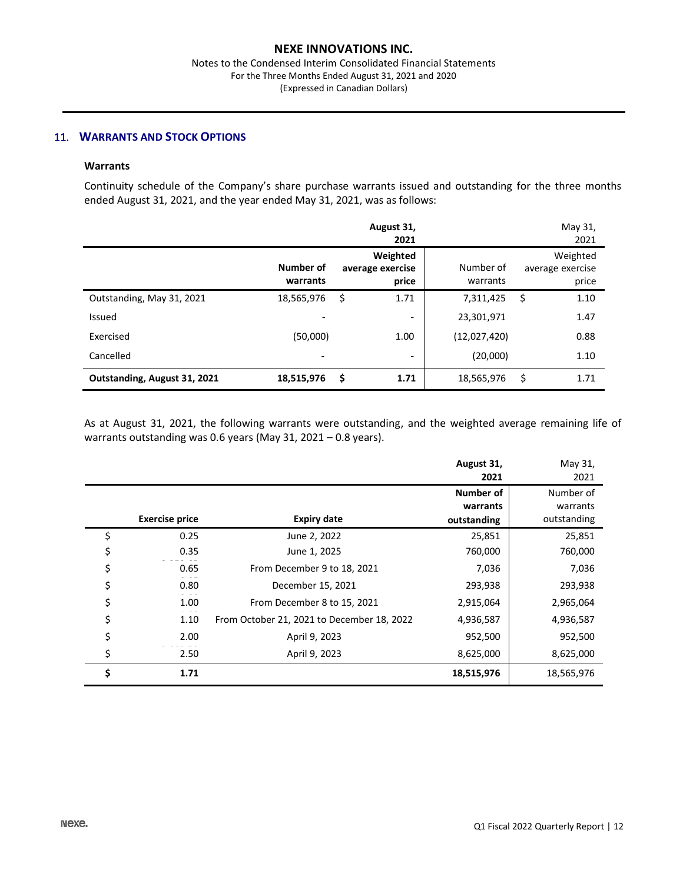## 11. **WARRANTS AND STOCK OPTIONS**

## **Warrants**

Continuity schedule of the Company's share purchase warrants issued and outstanding for the three months ended August 31, 2021, and the year ended May 31, 2021, was as follows:

|                              |                          | August 31,<br>2021                    |                       | May 31,<br>2021                       |
|------------------------------|--------------------------|---------------------------------------|-----------------------|---------------------------------------|
|                              | Number of<br>warrants    | Weighted<br>average exercise<br>price | Number of<br>warrants | Weighted<br>average exercise<br>price |
| Outstanding, May 31, 2021    | 18,565,976               | \$<br>1.71                            | 7,311,425             | \$<br>1.10                            |
| Issued                       | $\overline{\phantom{a}}$ | $\overline{\phantom{0}}$              | 23,301,971            | 1.47                                  |
| Exercised                    | (50,000)                 | 1.00                                  | (12,027,420)          | 0.88                                  |
| Cancelled                    | $\overline{\phantom{a}}$ | -                                     | (20,000)              | 1.10                                  |
| Outstanding, August 31, 2021 | 18,515,976               | \$<br>1.71                            | 18,565,976            | \$<br>1.71                            |

As at August 31, 2021, the following warrants were outstanding, and the weighted average remaining life of warrants outstanding was 0.6 years (May 31, 2021 – 0.8 years).

|                       |                                            | August 31,       | May 31,     |
|-----------------------|--------------------------------------------|------------------|-------------|
|                       |                                            | 2021             | 2021        |
|                       |                                            | <b>Number of</b> | Number of   |
|                       |                                            | warrants         | warrants    |
| <b>Exercise price</b> | <b>Expiry date</b>                         | outstanding      | outstanding |
| \$<br>0.25            | June 2, 2022                               | 25,851           | 25,851      |
| \$<br>0.35            | June 1, 2025                               | 760,000          | 760,000     |
| \$<br>0.65            | From December 9 to 18, 2021                | 7,036            | 7,036       |
| \$<br>0.80            | December 15, 2021                          | 293,938          | 293,938     |
| \$<br>1.00            | From December 8 to 15, 2021                | 2,915,064        | 2,965,064   |
| \$<br>1.10            | From October 21, 2021 to December 18, 2022 | 4,936,587        | 4,936,587   |
| \$<br>2.00            | April 9, 2023                              | 952,500          | 952,500     |
| \$<br>2.50            | April 9, 2023                              | 8,625,000        | 8,625,000   |
| \$<br>1.71            |                                            | 18,515,976       | 18,565,976  |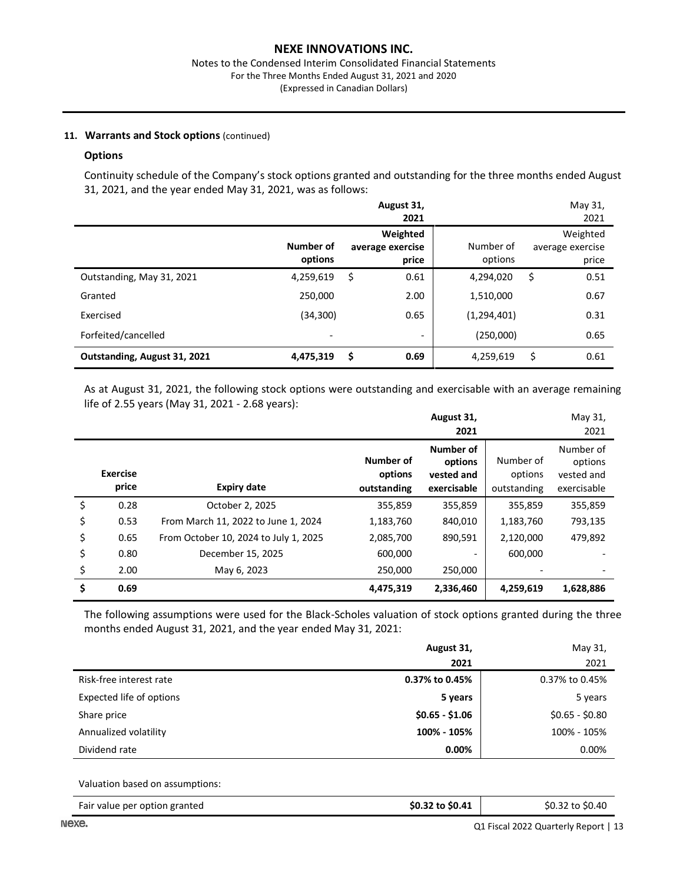#### Notes to the Condensed Interim Consolidated Financial Statements For the Three Months Ended August 31, 2021 and 2020 (Expressed in Canadian Dollars)

## **11. Warrants and Stock options** (continued)

#### **Options**

Continuity schedule of the Company's stock options granted and outstanding for the three months ended August 31, 2021, and the year ended May 31, 2021, was as follows:

|                              |                          | August 31,<br>2021                    |                      | May 31,<br>2021                       |
|------------------------------|--------------------------|---------------------------------------|----------------------|---------------------------------------|
|                              | Number of<br>options     | Weighted<br>average exercise<br>price | Number of<br>options | Weighted<br>average exercise<br>price |
| Outstanding, May 31, 2021    | 4,259,619                | \$<br>0.61                            | 4,294,020            | 0.51<br>\$                            |
| Granted                      | 250.000                  | 2.00                                  | 1,510,000            | 0.67                                  |
| Exercised                    | (34, 300)                | 0.65                                  | (1, 294, 401)        | 0.31                                  |
| Forfeited/cancelled          | $\overline{\phantom{0}}$ | $\overline{\phantom{a}}$              | (250,000)            | 0.65                                  |
| Outstanding, August 31, 2021 | 4,475,319                | \$<br>0.69                            | 4,259,619            | \$<br>0.61                            |

As at August 31, 2021, the following stock options were outstanding and exercisable with an average remaining life of 2.55 years (May 31, 2021 - 2.68 years):

|                          |                                       |                                     | August 31,                                        |                                     | May 31,                                           |
|--------------------------|---------------------------------------|-------------------------------------|---------------------------------------------------|-------------------------------------|---------------------------------------------------|
|                          |                                       |                                     | 2021                                              |                                     | 2021                                              |
| <b>Exercise</b><br>price | <b>Expiry date</b>                    | Number of<br>options<br>outstanding | Number of<br>options<br>vested and<br>exercisable | Number of<br>options<br>outstanding | Number of<br>options<br>vested and<br>exercisable |
| \$<br>0.28               | October 2, 2025                       | 355,859                             | 355,859                                           | 355,859                             | 355,859                                           |
| \$<br>0.53               | From March 11, 2022 to June 1, 2024   | 1,183,760                           | 840,010                                           | 1,183,760                           | 793,135                                           |
| \$<br>0.65               | From October 10, 2024 to July 1, 2025 | 2,085,700                           | 890,591                                           | 2,120,000                           | 479,892                                           |
| \$<br>0.80               | December 15, 2025                     | 600,000                             |                                                   | 600,000                             |                                                   |
| \$<br>2.00               | May 6, 2023                           | 250,000                             | 250,000                                           |                                     |                                                   |
| \$<br>0.69               |                                       | 4,475,319                           | 2,336,460                                         | 4,259,619                           | 1,628,886                                         |

The following assumptions were used for the Black-Scholes valuation of stock options granted during the three months ended August 31, 2021, and the year ended May 31, 2021:

|                          | August 31,      | May 31,         |
|--------------------------|-----------------|-----------------|
|                          | 2021            | 2021            |
| Risk-free interest rate  | 0.37% to 0.45%  | 0.37% to 0.45%  |
| Expected life of options | 5 years         | 5 years         |
| Share price              | $$0.65 - $1.06$ | $$0.65 - $0.80$ |
| Annualized volatility    | 100% - 105%     | 100% - 105%     |
| Dividend rate            | 0.00%           | $0.00\%$        |

Valuation based on assumptions:

| \$0.32 to \$0.41<br>\$0.32 to \$0.40<br>Fair value per option granted |  |
|-----------------------------------------------------------------------|--|
|-----------------------------------------------------------------------|--|

Q1 Fiscal 2022 Quarterly Report | 13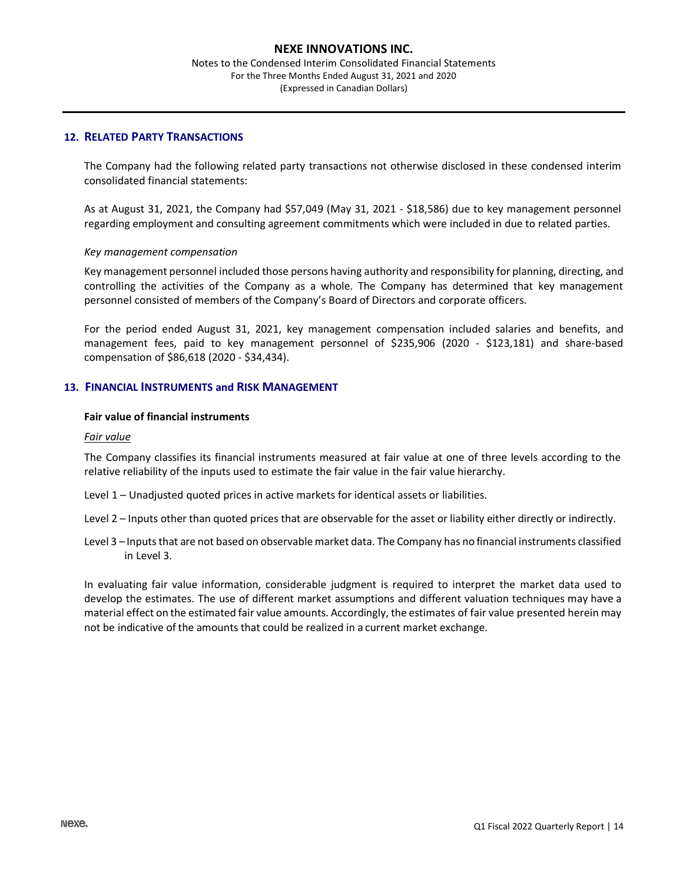Notes to the Condensed Interim Consolidated Financial Statements For the Three Months Ended August 31, 2021 and 2020 (Expressed in Canadian Dollars)

#### **12. RELATED PARTY TRANSACTIONS**

The Company had the following related party transactions not otherwise disclosed in these condensed interim consolidated financial statements:

As at August 31, 2021, the Company had \$57,049 (May 31, 2021 - \$18,586) due to key management personnel regarding employment and consulting agreement commitments which were included in due to related parties.

#### *Key management compensation*

Key management personnel included those persons having authority and responsibility for planning, directing, and controlling the activities of the Company as a whole. The Company has determined that key management personnel consisted of members of the Company's Board of Directors and corporate officers.

For the period ended August 31, 2021, key management compensation included salaries and benefits, and management fees, paid to key management personnel of \$235,906 (2020 - \$123,181) and share-based compensation of \$86,618 (2020 - \$34,434).

## **13. FINANCIAL INSTRUMENTS and RISK MANAGEMENT**

### **Fair value of financial instruments**

#### *Fair value*

The Company classifies its financial instruments measured at fair value at one of three levels according to the relative reliability of the inputs used to estimate the fair value in the fair value hierarchy.

- Level 1 Unadjusted quoted prices in active markets for identical assets or liabilities.
- Level 2 Inputs other than quoted prices that are observable for the asset or liability either directly or indirectly.
- Level 3 Inputs that are not based on observable market data. The Company has no financial instruments classified in Level 3.

In evaluating fair value information, considerable judgment is required to interpret the market data used to develop the estimates. The use of different market assumptions and different valuation techniques may have a material effect on the estimated fair value amounts. Accordingly, the estimates of fair value presented herein may not be indicative of the amounts that could be realized in a current market exchange.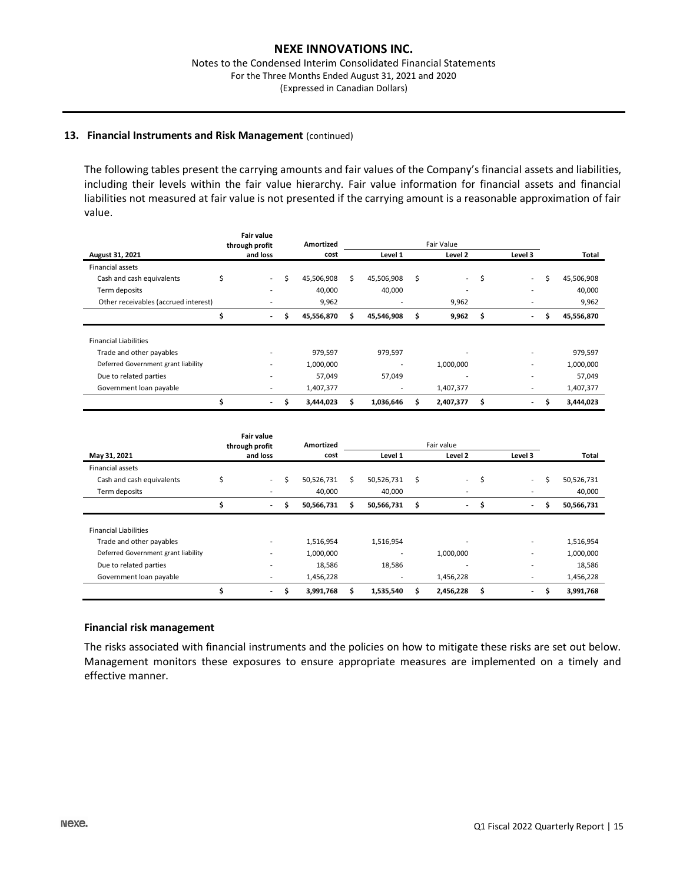#### **13. Financial Instruments and Risk Management** (continued)

The following tables present the carrying amounts and fair values of the Company's financial assets and liabilities, including their levels within the fair value hierarchy. Fair value information for financial assets and financial liabilities not measured at fair value is not presented if the carrying amount is a reasonable approximation of fair value.

|                                      | Fair value<br>through profit |                          |    | Amortized  | Fair Value |            |    |                          |    |                          |   |            |
|--------------------------------------|------------------------------|--------------------------|----|------------|------------|------------|----|--------------------------|----|--------------------------|---|------------|
| August 31, 2021                      |                              | and loss                 |    | cost       |            | Level 1    |    | Level 2                  |    | Level 3                  |   | Total      |
| <b>Financial assets</b>              |                              |                          |    |            |            |            |    |                          |    |                          |   |            |
| Cash and cash equivalents            | Ś                            | $\sim$                   | Ś  | 45,506,908 | Ś          | 45,506,908 | Ŝ. | $\sim$                   | \$ | $\sim$                   | Ś | 45,506,908 |
| Term deposits                        |                              |                          |    | 40,000     |            | 40,000     |    | $\overline{\phantom{a}}$ |    |                          |   | 40,000     |
| Other receivables (accrued interest) |                              |                          |    | 9,962      |            |            |    | 9,962                    |    | $\overline{\phantom{a}}$ |   | 9,962      |
|                                      |                              | $\overline{\phantom{a}}$ | \$ | 45,556,870 | S          | 45,546,908 | \$ | 9,962                    | \$ | $\overline{\phantom{a}}$ | Ś | 45,556,870 |
| <b>Financial Liabilities</b>         |                              |                          |    |            |            |            |    |                          |    |                          |   |            |
| Trade and other payables             |                              |                          |    | 979,597    |            | 979,597    |    |                          |    | $\overline{\phantom{a}}$ |   | 979,597    |
| Deferred Government grant liability  |                              | $\overline{\phantom{0}}$ |    | 1,000,000  |            |            |    | 1,000,000                |    | $\blacksquare$           |   | 1,000,000  |
| Due to related parties               |                              |                          |    | 57,049     |            | 57,049     |    |                          |    | $\overline{\phantom{a}}$ |   | 57,049     |
| Government loan payable              |                              |                          |    | 1,407,377  |            |            |    | 1,407,377                |    | $\overline{\phantom{a}}$ |   | 1,407,377  |
|                                      |                              | $\overline{\phantom{a}}$ | Ś  | 3,444,023  | Ś          | 1,036,646  |    | 2,407,377                | Ŝ  | $\overline{\phantom{a}}$ | Ś | 3,444,023  |

|                                     |    | <b>Fair value</b><br>through profit | Amortized        | Fair value |            |    |                          |    |                          |   |            |  |
|-------------------------------------|----|-------------------------------------|------------------|------------|------------|----|--------------------------|----|--------------------------|---|------------|--|
| May 31, 2021                        |    | and loss                            | cost             | Level 1    |            |    | Level 2                  |    | Level 3                  |   | Total      |  |
| <b>Financial assets</b>             |    |                                     |                  |            |            |    |                          |    |                          |   |            |  |
| Cash and cash equivalents           | \$ | $\sim$                              | \$<br>50,526,731 | Ś.         | 50,526,731 | Ŝ. | $\sim$                   | \$ | $\overline{\phantom{a}}$ | Ś | 50,526,731 |  |
| Term deposits                       |    | $\overline{\phantom{0}}$            | 40,000           |            | 40,000     |    | $\overline{\phantom{a}}$ |    | $\overline{\phantom{a}}$ |   | 40,000     |  |
|                                     | \$ | $\overline{\phantom{a}}$            | \$<br>50,566,731 | Ś          | 50,566,731 | \$ | $\overline{\phantom{a}}$ | \$ | $\overline{\phantom{a}}$ | Ś | 50,566,731 |  |
|                                     |    |                                     |                  |            |            |    |                          |    |                          |   |            |  |
| <b>Financial Liabilities</b>        |    |                                     |                  |            |            |    |                          |    |                          |   |            |  |
| Trade and other payables            |    |                                     | 1,516,954        |            | 1,516,954  |    |                          |    | $\overline{\phantom{a}}$ |   | 1,516,954  |  |
| Deferred Government grant liability |    |                                     | 1,000,000        |            |            |    | 1,000,000                |    | $\overline{\phantom{a}}$ |   | 1,000,000  |  |
| Due to related parties              |    |                                     | 18,586           |            | 18,586     |    | ۰                        |    | $\blacksquare$           |   | 18,586     |  |
| Government loan payable             |    |                                     | 1,456,228        |            |            |    | 1,456,228                |    | $\overline{\phantom{a}}$ |   | 1,456,228  |  |
|                                     | Ś  | $\overline{\phantom{a}}$            | \$<br>3,991,768  | S          | 1,535,540  |    | 2,456,228                | Ś  | $\overline{\phantom{a}}$ | Ś | 3,991,768  |  |

#### **Financial risk management**

The risks associated with financial instruments and the policies on how to mitigate these risks are set out below. Management monitors these exposures to ensure appropriate measures are implemented on a timely and effective manner.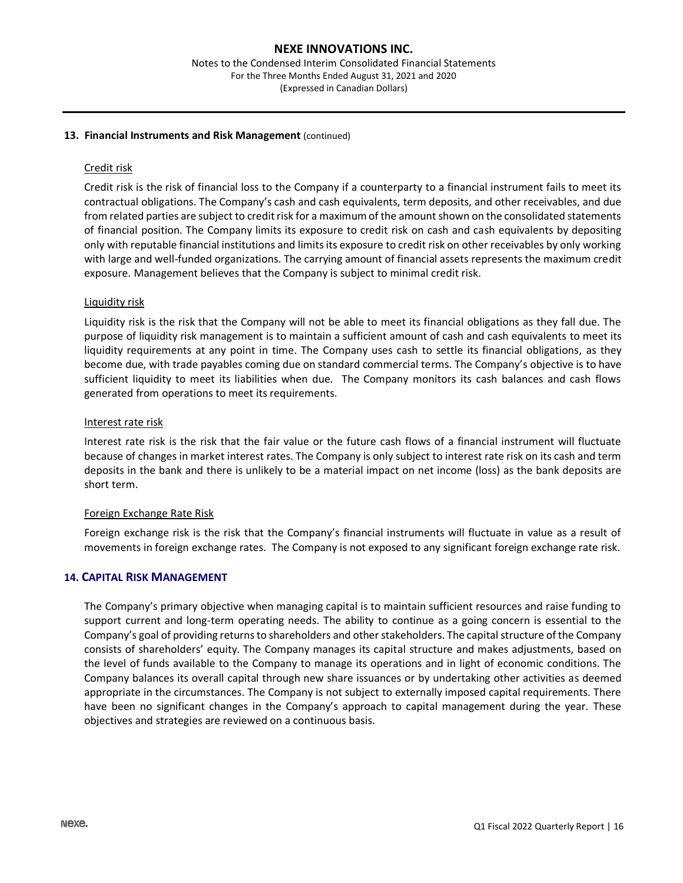#### **13. Financial Instruments and Risk Management** (continued)

#### Credit risk

Credit risk is the risk of financial loss to the Company if a counterparty to a financial instrument fails to meet its contractual obligations. The Company's cash and cash equivalents, term deposits, and other receivables, and due from related parties are subject to credit risk for a maximum of the amount shown on the consolidated statements of financial position. The Company limits its exposure to credit risk on cash and cash equivalents by depositing only with reputable financial institutions and limits its exposure to credit risk on other receivables by only working with large and well-funded organizations. The carrying amount of financial assets represents the maximum credit exposure. Management believes that the Company is subject to minimal credit risk.

#### Liquidity risk

Liquidity risk is the risk that the Company will not be able to meet its financial obligations as they fall due. The purpose of liquidity risk management is to maintain a sufficient amount of cash and cash equivalents to meet its liquidity requirements at any point in time. The Company uses cash to settle its financial obligations, as they become due, with trade payables coming due on standard commercial terms. The Company's objective is to have sufficient liquidity to meet its liabilities when due. The Company monitors its cash balances and cash flows generated from operations to meet its requirements.

#### Interest rate risk

Interest rate risk is the risk that the fair value or the future cash flows of a financial instrument will fluctuate because of changes in market interest rates. The Company is only subject to interest rate risk on its cash and term deposits in the bank and there is unlikely to be a material impact on net income (loss) as the bank deposits are short term.

#### Foreign Exchange Rate Risk

Foreign exchange risk is the risk that the Company's financial instruments will fluctuate in value as a result of movements in foreign exchange rates. The Company is not exposed to any significant foreign exchange rate risk.

#### **14. CAPITAL RISK MANAGEMENT**

The Company's primary objective when managing capital is to maintain sufficient resources and raise funding to support current and long-term operating needs. The ability to continue as a going concern is essential to the Company's goal of providing returns to shareholders and other stakeholders. The capital structure of the Company consists of shareholders' equity. The Company manages its capital structure and makes adjustments, based on the level of funds available to the Company to manage its operations and in light of economic conditions. The Company balances its overall capital through new share issuances or by undertaking other activities as deemed appropriate in the circumstances. The Company is not subject to externally imposed capital requirements. There have been no significant changes in the Company's approach to capital management during the year. These objectives and strategies are reviewed on a continuous basis.